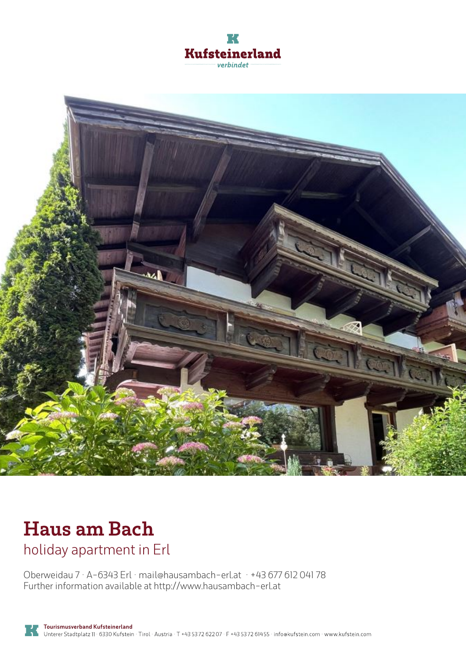



# **Haus am Bach**

holiday apartment in Erl

Oberweidau 7 · A-6343 Erl · **mail@hausambach-erl.at** · **+43 677 612 041 78** Further information available at **http://www.hausambach-erl.at**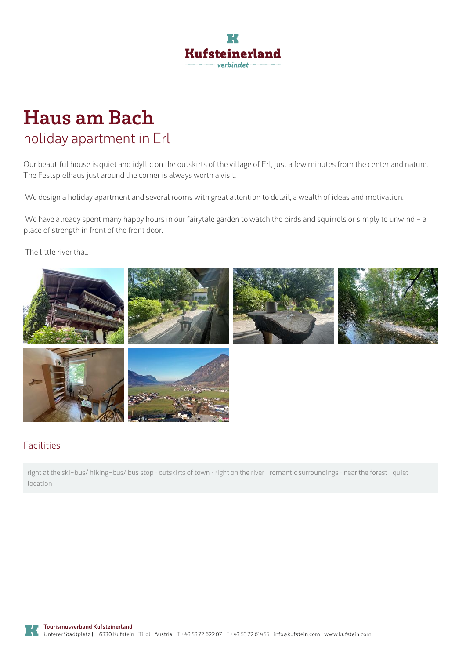

## **Haus am Bach** holiday apartment in Erl

Our beautiful house is quiet and idyllic on the outskirts of the village of Erl, just a few minutes from the center and nature. The Festspielhaus just around the corner is always worth a visit.

We design a holiday apartment and several rooms with great attention to detail, a wealth of ideas and motivation.

We have already spent many happy hours in our fairytale garden to watch the birds and squirrels or simply to unwind - a place of strength in front of the front door.

The little river tha...



#### Facilities

right at the ski-bus/ hiking-bus/ bus stop · outskirts of town · right on the river · romantic surroundings · near the forest · quiet location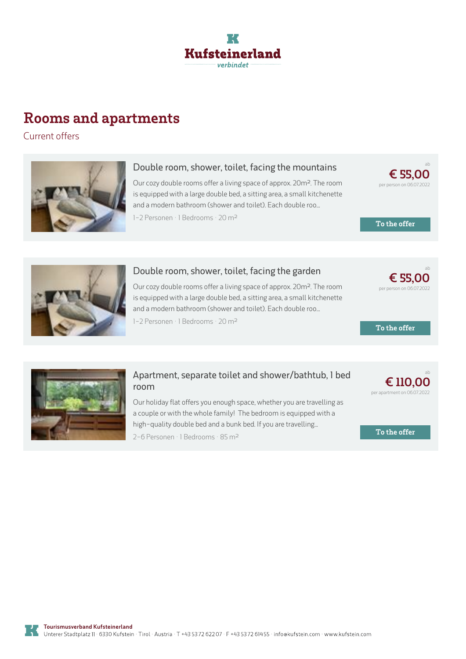

### **Rooms and apartments**

Current offers



#### **Double room, shower, toilet, facing the mountains**

Our cozy double rooms offer <sup>a</sup> living space of approx. 20m². The room is equipped with <sup>a</sup> large double bed, <sup>a</sup> sitting area, <sup>a</sup> small kitchenette and <sup>a</sup> modern bathroom (shower and toilet). Each double roo...

1-2 Personen · 1 Bedrooms · 20 <sup>m</sup><sup>²</sup>

**€ [55,00](https://www.kufstein.com/en/book/erl/holiday-apartment/haus-am-bach.html?utm_medium=PDF&utm_campaign=Vermieter-Prospekt&utm_source=Haus+am+Bach)** per person on 06.07.2022

ab

**To the offer**



#### **Double room, shower, toilet, facing the garden**

Our cozy double rooms offer <sup>a</sup> living space of approx. 20m². The room is equipped with <sup>a</sup> large double bed, <sup>a</sup> sitting area, <sup>a</sup> small kitchenette and a modern bathroom (shower and toilet). Each double roo...

1-2 Personen · 1 Bedrooms · 20 <sup>m</sup><sup>²</sup>



**To the offer**



#### **Apartment, separate toilet and [shower/bathtub,](https://www.kufstein.com/en/book/erl/holiday-apartment/haus-am-bach.html?utm_medium=PDF&utm_campaign=Vermieter-Prospekt&utm_source=Haus+am+Bach) 1 bed room**

Our holiday flat offers you enough space, whether you are travelling as <sup>a</sup> couple or with the whole family! The bedroom is equipped with <sup>a</sup> high-quality double bed and a bunk bed. If you are travelling...

2-6 Personen · 1 Bedrooms · 85 <sup>m</sup><sup>²</sup>



**To the offer**